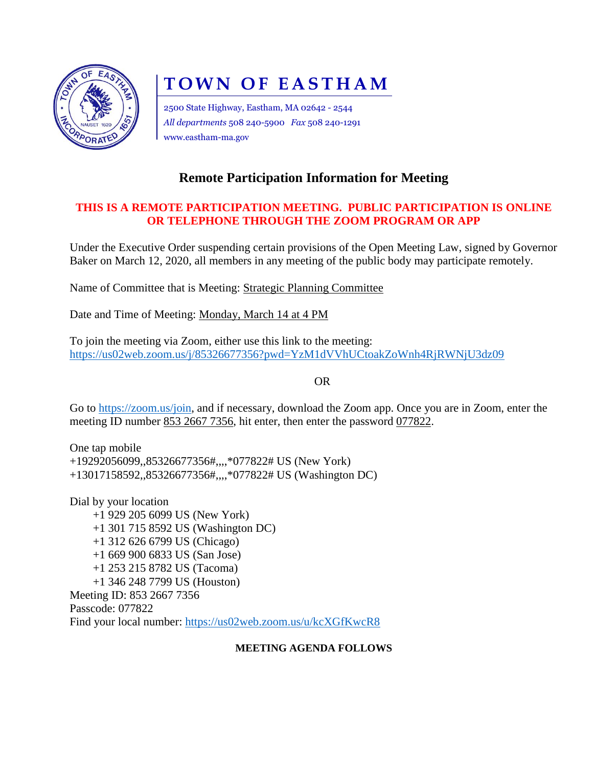

# **TOWN OF EASTHAM**

2500 State Highway, Eastham, MA 02642 - 2544 *All departments* 508 240-5900 *Fax* 508 240-1291 www.eastham-ma.gov

# **Remote Participation Information for Meeting**

## **THIS IS A REMOTE PARTICIPATION MEETING. PUBLIC PARTICIPATION IS ONLINE OR TELEPHONE THROUGH THE ZOOM PROGRAM OR APP**

Under the Executive Order suspending certain provisions of the Open Meeting Law, signed by Governor Baker on March 12, 2020, all members in any meeting of the public body may participate remotely.

Name of Committee that is Meeting: Strategic Planning Committee

Date and Time of Meeting: Monday, March 14 at 4 PM

To join the meeting via Zoom, either use this link to the meeting: <https://us02web.zoom.us/j/85326677356?pwd=YzM1dVVhUCtoakZoWnh4RjRWNjU3dz09>

OR

Go to [https://zoom.us/join,](https://zoom.us/join) and if necessary, download the Zoom app. Once you are in Zoom, enter the meeting ID number 853 2667 7356, hit enter, then enter the password 077822.

One tap mobile +19292056099,,85326677356#,,,,\*077822# US (New York) +13017158592,,85326677356#,,,,\*077822# US (Washington DC)

Dial by your location +1 929 205 6099 US (New York) +1 301 715 8592 US (Washington DC) +1 312 626 6799 US (Chicago) +1 669 900 6833 US (San Jose) +1 253 215 8782 US (Tacoma) +1 346 248 7799 US (Houston) Meeting ID: 853 2667 7356 Passcode: 077822 Find your local number:<https://us02web.zoom.us/u/kcXGfKwcR8>

### **MEETING AGENDA FOLLOWS**